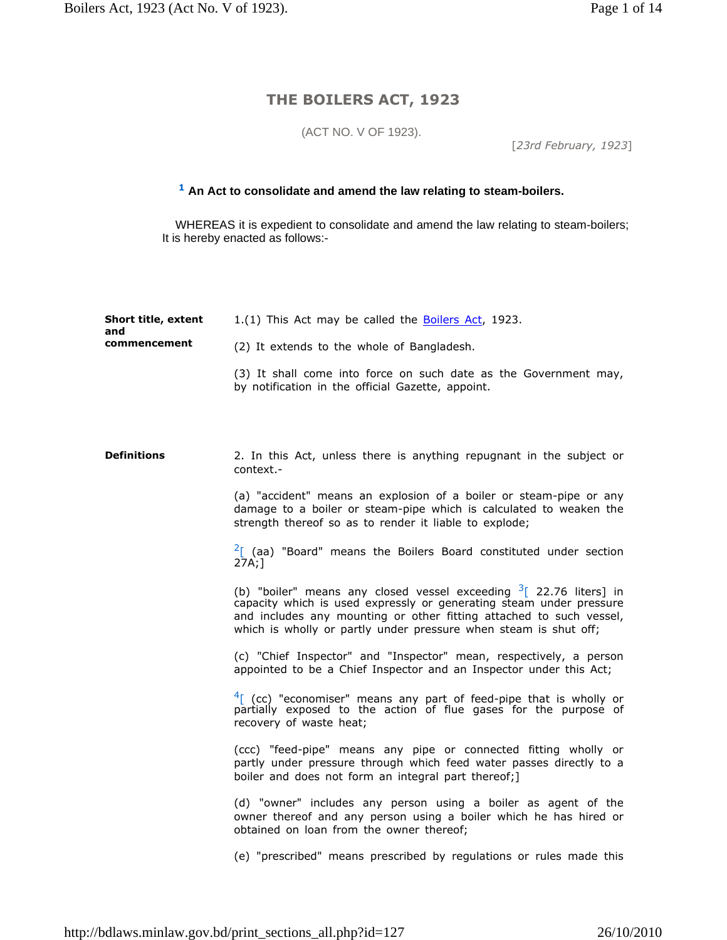## **THE BOILERS ACT, 1923**

(ACT NO. V OF 1923).

[*23rd February, 1923*]

## **<sup>1</sup> An Act to consolidate and amend the law relating to steam-boilers.**

 WHEREAS it is expedient to consolidate and amend the law relating to steam-boilers; It is hereby enacted as follows:-

| <b>Short title, extent</b><br>and<br>commencement | 1.(1) This Act may be called the Boilers Act, 1923.                                                                                                                                                                                                                                     |
|---------------------------------------------------|-----------------------------------------------------------------------------------------------------------------------------------------------------------------------------------------------------------------------------------------------------------------------------------------|
|                                                   | (2) It extends to the whole of Bangladesh.                                                                                                                                                                                                                                              |
|                                                   | (3) It shall come into force on such date as the Government may,<br>by notification in the official Gazette, appoint.                                                                                                                                                                   |
|                                                   |                                                                                                                                                                                                                                                                                         |
| <b>Definitions</b>                                | 2. In this Act, unless there is anything repugnant in the subject or<br>context.-                                                                                                                                                                                                       |
|                                                   | (a) "accident" means an explosion of a boiler or steam-pipe or any<br>damage to a boiler or steam-pipe which is calculated to weaken the<br>strength thereof so as to render it liable to explode;                                                                                      |
|                                                   | $2$ [ (aa) "Board" means the Boilers Board constituted under section<br>27A;1                                                                                                                                                                                                           |
|                                                   | (b) "boiler" means any closed vessel exceeding $3$ [ 22.76 liters] in<br>capacity which is used expressly or generating steam under pressure<br>and includes any mounting or other fitting attached to such vessel,<br>which is wholly or partly under pressure when steam is shut off; |
|                                                   | (c) "Chief Inspector" and "Inspector" mean, respectively, a person<br>appointed to be a Chief Inspector and an Inspector under this Act;                                                                                                                                                |
|                                                   | $4$ [ (cc) "economiser" means any part of feed-pipe that is wholly or partially exposed to the action of flue gases for the purpose of<br>recovery of waste heat;                                                                                                                       |
|                                                   | (ccc) "feed-pipe" means any pipe or connected fitting wholly or<br>partly under pressure through which feed water passes directly to a<br>boiler and does not form an integral part thereof;]                                                                                           |
|                                                   | (d) "owner" includes any person using a boiler as agent of the<br>owner thereof and any person using a boiler which he has hired or<br>obtained on loan from the owner thereof;                                                                                                         |
|                                                   | (e) "prescribed" means prescribed by regulations or rules made this                                                                                                                                                                                                                     |
|                                                   |                                                                                                                                                                                                                                                                                         |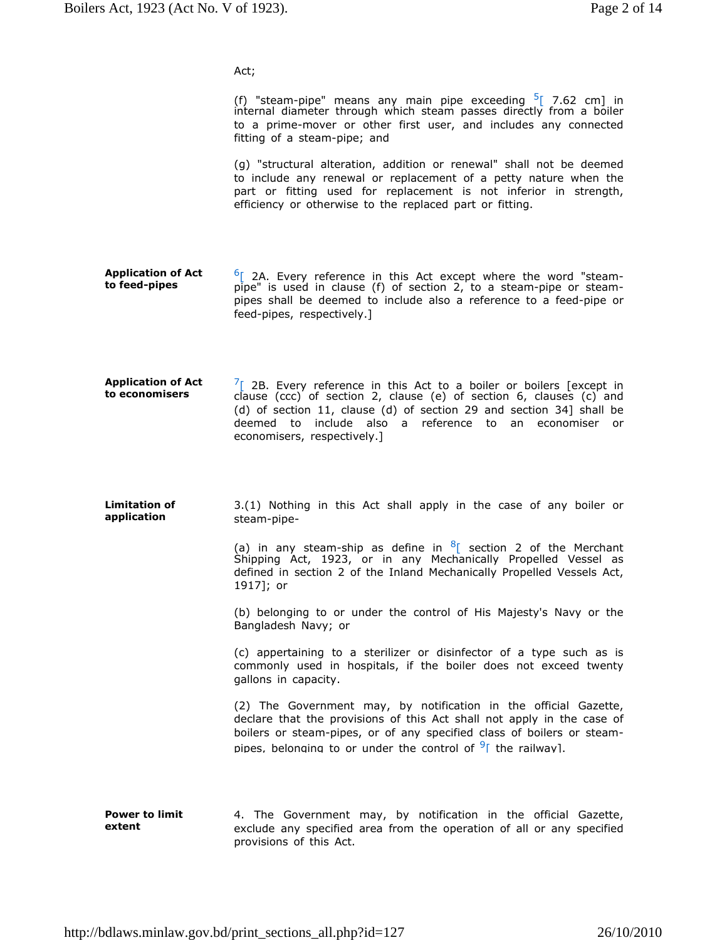Act;

(f) "steam-pipe" means any main pipe exceeding  $5$ [ 7.62 cm] in internal diameter through which steam passes directly from a boiler to a prime-mover or other first user, and includes any connected fitting of a steam-pipe; and

(g) "structural alteration, addition or renewal" shall not be deemed to include any renewal or replacement of a petty nature when the part or fitting used for replacement is not inferior in strength, efficiency or otherwise to the replaced part or fitting.

- **Application of Act to feed-pipes**  $6$ [ 2A. Every reference in this Act except where the word "steampipe" is used in clause (f) of section 2, to a steam-pipe or steampipes shall be deemed to include also a reference to a feed-pipe or feed-pipes, respectively.]
- **Application of Act to economisers**  $\frac{7}{2}$  2B. Every reference in this Act to a boiler or boilers [except in clause (ccc) of section 2, clause (e) of section 6, clauses (c) and (d) of section 11, clause (d) of section 29 and section 34] shall be deemed to include also a reference to an economiser or economisers, respectively.]
- **Limitation of application** 3.(1) Nothing in this Act shall apply in the case of any boiler or steam-pipe-

(a) in any steam-ship as define in  ${}^{8}$ [ section 2 of the Merchant Shipping Act, 1923, or in any Mechanically Propelled Vessel as defined in section 2 of the Inland Mechanically Propelled Vessels Act, 1917]; or

(b) belonging to or under the control of His Majesty's Navy or the Bangladesh Navy; or

(c) appertaining to a sterilizer or disinfector of a type such as is commonly used in hospitals, if the boiler does not exceed twenty gallons in capacity.

(2) The Government may, by notification in the official Gazette, declare that the provisions of this Act shall not apply in the case of boilers or steam-pipes, or of any specified class of boilers or steampipes, belonging to or under the control of <sup>9</sup>I the railway].

**Power to limit extent** 4. The Government may, by notification in the official Gazette, exclude any specified area from the operation of all or any specified provisions of this Act.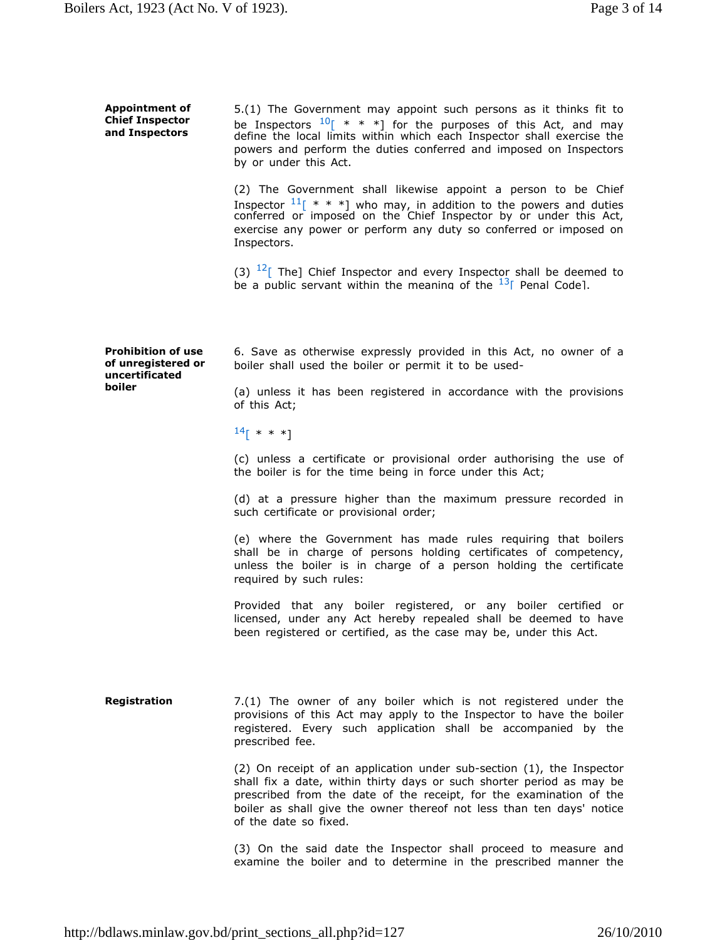| <b>Appointment of</b><br><b>Chief Inspector</b><br>and Inspectors           | 5.(1) The Government may appoint such persons as it thinks fit to<br>be Inspectors $10$ <sup>[ *</sup> * *] for the purposes of this Act, and may define the local limits within which each Inspector shall exercise the<br>powers and perform the duties conferred and imposed on Inspectors<br>by or under this Act. |
|-----------------------------------------------------------------------------|------------------------------------------------------------------------------------------------------------------------------------------------------------------------------------------------------------------------------------------------------------------------------------------------------------------------|
|                                                                             | (2) The Government shall likewise appoint a person to be Chief<br>Inspector $11$ [ * * *] who may, in addition to the powers and duties conferred or imposed on the Chief Inspector by or under this Act,<br>exercise any power or perform any duty so conferred or imposed on<br>Inspectors.                          |
|                                                                             | (3) $12$ [ The] Chief Inspector and every Inspector shall be deemed to<br>be a public servant within the meaning of the $^{13}$ Penal Code].                                                                                                                                                                           |
| <b>Prohibition of use</b><br>of unregistered or<br>uncertificated<br>boiler | 6. Save as otherwise expressly provided in this Act, no owner of a<br>boiler shall used the boiler or permit it to be used-                                                                                                                                                                                            |
|                                                                             | (a) unless it has been registered in accordance with the provisions<br>of this Act;                                                                                                                                                                                                                                    |
|                                                                             | $14$ [ * * *]                                                                                                                                                                                                                                                                                                          |
|                                                                             | (c) unless a certificate or provisional order authorising the use of<br>the boiler is for the time being in force under this Act;                                                                                                                                                                                      |
|                                                                             | (d) at a pressure higher than the maximum pressure recorded in<br>such certificate or provisional order;                                                                                                                                                                                                               |
|                                                                             | (e) where the Government has made rules requiring that boilers<br>shall be in charge of persons holding certificates of competency,<br>unless the boiler is in charge of a person holding the certificate<br>required by such rules:                                                                                   |
|                                                                             | Provided that any boiler registered, or any boiler certified or<br>licensed, under any Act hereby repealed shall be deemed to have<br>been registered or certified, as the case may be, under this Act.                                                                                                                |
|                                                                             |                                                                                                                                                                                                                                                                                                                        |
| Registration                                                                | 7.(1) The owner of any boiler which is not registered under the<br>provisions of this Act may apply to the Inspector to have the boiler<br>registered. Every such application shall be accompanied by the<br>prescribed fee.                                                                                           |
|                                                                             | (2) On receipt of an application under sub-section (1), the Inspector<br>shall fix a date, within thirty days or such shorter period as may be<br>prescribed from the date of the receipt, for the examination of the<br>boiler as shall give the owner thereof not less than ten days' notice                         |

(3) On the said date the Inspector shall proceed to measure and examine the boiler and to determine in the prescribed manner the

of the date so fixed.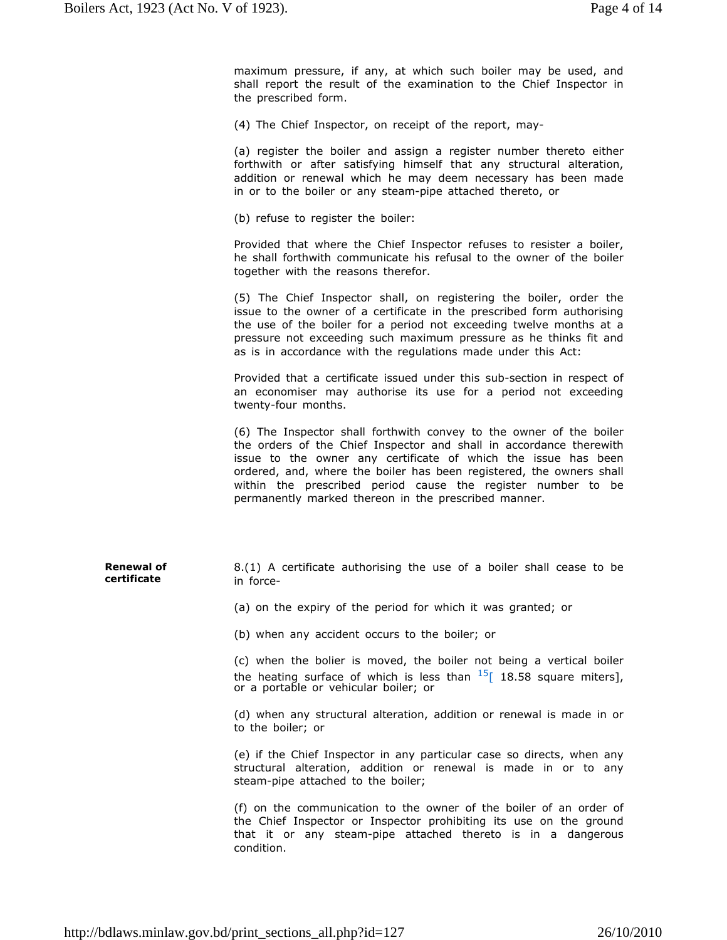maximum pressure, if any, at which such boiler may be used, and shall report the result of the examination to the Chief Inspector in the prescribed form.

(4) The Chief Inspector, on receipt of the report, may-

(a) register the boiler and assign a register number thereto either forthwith or after satisfying himself that any structural alteration, addition or renewal which he may deem necessary has been made in or to the boiler or any steam-pipe attached thereto, or

(b) refuse to register the boiler:

Provided that where the Chief Inspector refuses to resister a boiler, he shall forthwith communicate his refusal to the owner of the boiler together with the reasons therefor.

(5) The Chief Inspector shall, on registering the boiler, order the issue to the owner of a certificate in the prescribed form authorising the use of the boiler for a period not exceeding twelve months at a pressure not exceeding such maximum pressure as he thinks fit and as is in accordance with the regulations made under this Act:

Provided that a certificate issued under this sub-section in respect of an economiser may authorise its use for a period not exceeding twenty-four months.

(6) The Inspector shall forthwith convey to the owner of the boiler the orders of the Chief Inspector and shall in accordance therewith issue to the owner any certificate of which the issue has been ordered, and, where the boiler has been registered, the owners shall within the prescribed period cause the register number to be permanently marked thereon in the prescribed manner.

**Renewal of certificate** 8.(1) A certificate authorising the use of a boiler shall cease to be in force-

(a) on the expiry of the period for which it was granted; or

(b) when any accident occurs to the boiler; or

(c) when the bolier is moved, the boiler not being a vertical boiler the heating surface of which is less than  $^{15}$ [ 18.58 square miters], or a portable or vehicular boiler; or

(d) when any structural alteration, addition or renewal is made in or to the boiler; or

(e) if the Chief Inspector in any particular case so directs, when any structural alteration, addition or renewal is made in or to any steam-pipe attached to the boiler;

(f) on the communication to the owner of the boiler of an order of the Chief Inspector or Inspector prohibiting its use on the ground that it or any steam-pipe attached thereto is in a dangerous condition.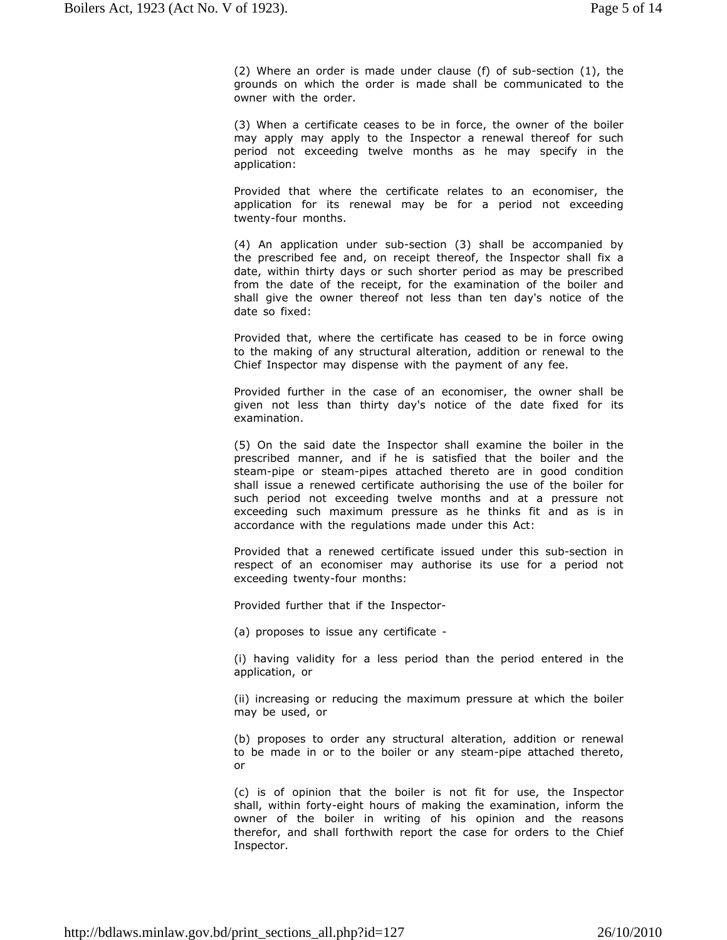(2) Where an order is made under clause (f) of sub-section (1), the grounds on which the order is made shall be communicated to the owner with the order.

(3) When a certificate ceases to be in force, the owner of the boiler may apply may apply to the Inspector a renewal thereof for such period not exceeding twelve months as he may specify in the application:

Provided that where the certificate relates to an economiser, the application for its renewal may be for a period not exceeding twenty-four months.

(4) An application under sub-section (3) shall be accompanied by the prescribed fee and, on receipt thereof, the Inspector shall fix a date, within thirty days or such shorter period as may be prescribed from the date of the receipt, for the examination of the boiler and shall give the owner thereof not less than ten day's notice of the date so fixed:

Provided that, where the certificate has ceased to be in force owing to the making of any structural alteration, addition or renewal to the Chief Inspector may dispense with the payment of any fee.

Provided further in the case of an economiser, the owner shall be given not less than thirty day's notice of the date fixed for its examination.

(5) On the said date the Inspector shall examine the boiler in the prescribed manner, and if he is satisfied that the boiler and the steam-pipe or steam-pipes attached thereto are in good condition shall issue a renewed certificate authorising the use of the boiler for such period not exceeding twelve months and at a pressure not exceeding such maximum pressure as he thinks fit and as is in accordance with the regulations made under this Act:

Provided that a renewed certificate issued under this sub-section in respect of an economiser may authorise its use for a period not exceeding twenty-four months:

Provided further that if the Inspector-

(a) proposes to issue any certificate -

(i) having validity for a less period than the period entered in the application, or

(ii) increasing or reducing the maximum pressure at which the boiler may be used, or

(b) proposes to order any structural alteration, addition or renewal to be made in or to the boiler or any steam-pipe attached thereto, or

(c) is of opinion that the boiler is not fit for use, the Inspector shall, within forty-eight hours of making the examination, inform the owner of the boiler in writing of his opinion and the reasons therefor, and shall forthwith report the case for orders to the Chief Inspector.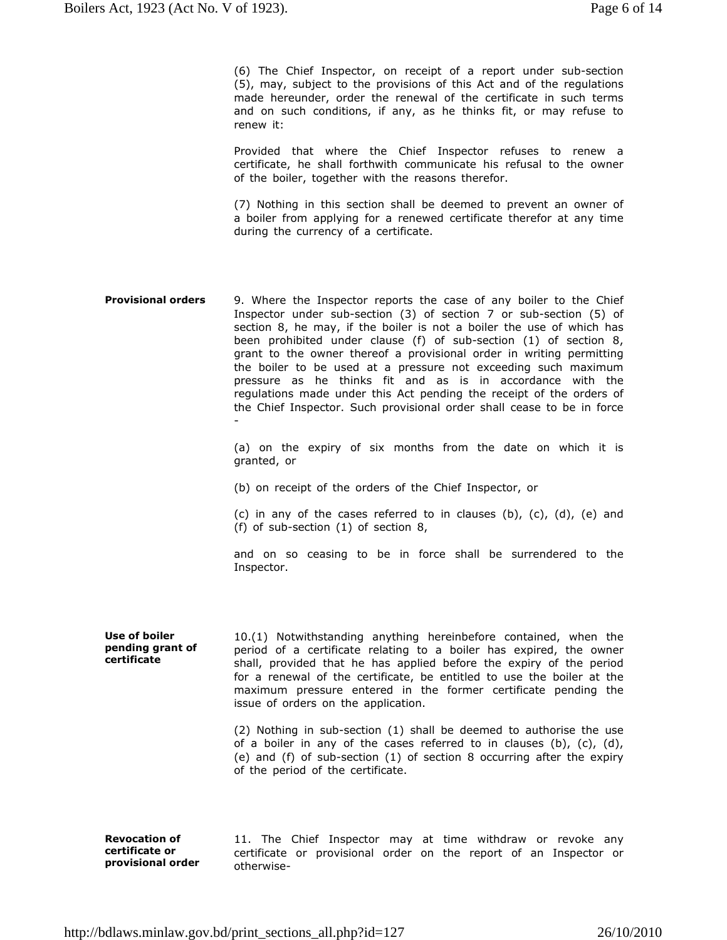(6) The Chief Inspector, on receipt of a report under sub-section (5), may, subject to the provisions of this Act and of the regulations made hereunder, order the renewal of the certificate in such terms and on such conditions, if any, as he thinks fit, or may refuse to renew it:

Provided that where the Chief Inspector refuses to renew a certificate, he shall forthwith communicate his refusal to the owner of the boiler, together with the reasons therefor.

(7) Nothing in this section shall be deemed to prevent an owner of a boiler from applying for a renewed certificate therefor at any time during the currency of a certificate.

**Provisional orders** 9. Where the Inspector reports the case of any boiler to the Chief Inspector under sub-section (3) of section 7 or sub-section (5) of section 8, he may, if the boiler is not a boiler the use of which has been prohibited under clause (f) of sub-section (1) of section 8, grant to the owner thereof a provisional order in writing permitting the boiler to be used at a pressure not exceeding such maximum pressure as he thinks fit and as is in accordance with the regulations made under this Act pending the receipt of the orders of the Chief Inspector. Such provisional order shall cease to be in force -

> (a) on the expiry of six months from the date on which it is granted, or

(b) on receipt of the orders of the Chief Inspector, or

(c) in any of the cases referred to in clauses (b),  $(c)$ ,  $(d)$ ,  $(e)$  and (f) of sub-section (1) of section 8,

and on so ceasing to be in force shall be surrendered to the Inspector.

**Use of boiler pending grant of certificate** 10.(1) Notwithstanding anything hereinbefore contained, when the period of a certificate relating to a boiler has expired, the owner shall, provided that he has applied before the expiry of the period for a renewal of the certificate, be entitled to use the boiler at the maximum pressure entered in the former certificate pending the issue of orders on the application.

> (2) Nothing in sub-section (1) shall be deemed to authorise the use of a boiler in any of the cases referred to in clauses (b), (c), (d), (e) and (f) of sub-section (1) of section 8 occurring after the expiry of the period of the certificate.

**Revocation of certificate or provisional order** 11. The Chief Inspector may at time withdraw or revoke any certificate or provisional order on the report of an Inspector or otherwise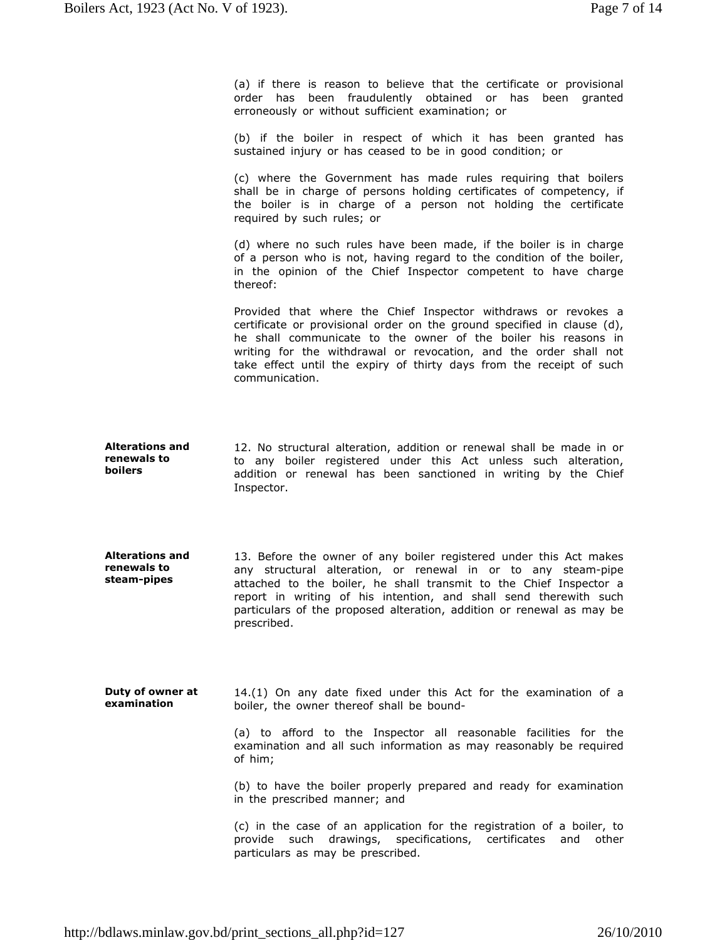(a) if there is reason to believe that the certificate or provisional order has been fraudulently obtained or has been granted erroneously or without sufficient examination; or

(b) if the boiler in respect of which it has been granted has sustained injury or has ceased to be in good condition; or

(c) where the Government has made rules requiring that boilers shall be in charge of persons holding certificates of competency, if the boiler is in charge of a person not holding the certificate required by such rules; or

(d) where no such rules have been made, if the boiler is in charge of a person who is not, having regard to the condition of the boiler, in the opinion of the Chief Inspector competent to have charge thereof:

Provided that where the Chief Inspector withdraws or revokes a certificate or provisional order on the ground specified in clause (d), he shall communicate to the owner of the boiler his reasons in writing for the withdrawal or revocation, and the order shall not take effect until the expiry of thirty days from the receipt of such communication.

- **Alterations and renewals to boilers** 12. No structural alteration, addition or renewal shall be made in or to any boiler registered under this Act unless such alteration, addition or renewal has been sanctioned in writing by the Chief Inspector.
- **Alterations and renewals to steam-pipes** 13. Before the owner of any boiler registered under this Act makes any structural alteration, or renewal in or to any steam-pipe attached to the boiler, he shall transmit to the Chief Inspector a report in writing of his intention, and shall send therewith such particulars of the proposed alteration, addition or renewal as may be prescribed.
- **Duty of owner at examination** 14.(1) On any date fixed under this Act for the examination of a boiler, the owner thereof shall be bound-

(a) to afford to the Inspector all reasonable facilities for the examination and all such information as may reasonably be required of him;

(b) to have the boiler properly prepared and ready for examination in the prescribed manner; and

(c) in the case of an application for the registration of a boiler, to provide such drawings, specifications, certificates and other particulars as may be prescribed.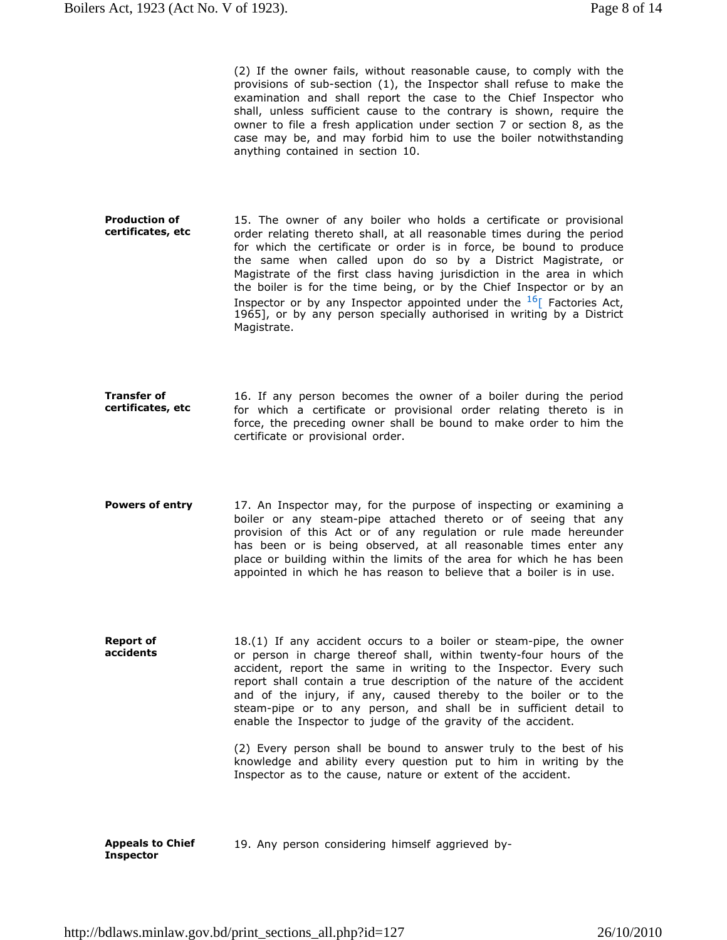(2) If the owner fails, without reasonable cause, to comply with the provisions of sub-section (1), the Inspector shall refuse to make the examination and shall report the case to the Chief Inspector who shall, unless sufficient cause to the contrary is shown, require the owner to file a fresh application under section 7 or section 8, as the case may be, and may forbid him to use the boiler notwithstanding anything contained in section 10.

- **Production of certificates, etc** 15. The owner of any boiler who holds a certificate or provisional order relating thereto shall, at all reasonable times during the period for which the certificate or order is in force, be bound to produce the same when called upon do so by a District Magistrate, or Magistrate of the first class having jurisdiction in the area in which the boiler is for the time being, or by the Chief Inspector or by an Inspector or by any Inspector appointed under the  $^{16}$ [ Factories Act, 1965], or by any person specially authorised in writing by a District Magistrate.
- **Transfer of certificates, etc** 16. If any person becomes the owner of a boiler during the period for which a certificate or provisional order relating thereto is in force, the preceding owner shall be bound to make order to him the certificate or provisional order.
- **Powers of entry** 17. An Inspector may, for the purpose of inspecting or examining a boiler or any steam-pipe attached thereto or of seeing that any provision of this Act or of any regulation or rule made hereunder has been or is being observed, at all reasonable times enter any place or building within the limits of the area for which he has been appointed in which he has reason to believe that a boiler is in use.
- **Report of accidents** 18.(1) If any accident occurs to a boiler or steam-pipe, the owner or person in charge thereof shall, within twenty-four hours of the accident, report the same in writing to the Inspector. Every such report shall contain a true description of the nature of the accident and of the injury, if any, caused thereby to the boiler or to the steam-pipe or to any person, and shall be in sufficient detail to enable the Inspector to judge of the gravity of the accident.

(2) Every person shall be bound to answer truly to the best of his knowledge and ability every question put to him in writing by the Inspector as to the cause, nature or extent of the accident.

**Appeals to Chief Inspector** 19. Any person considering himself aggrieved by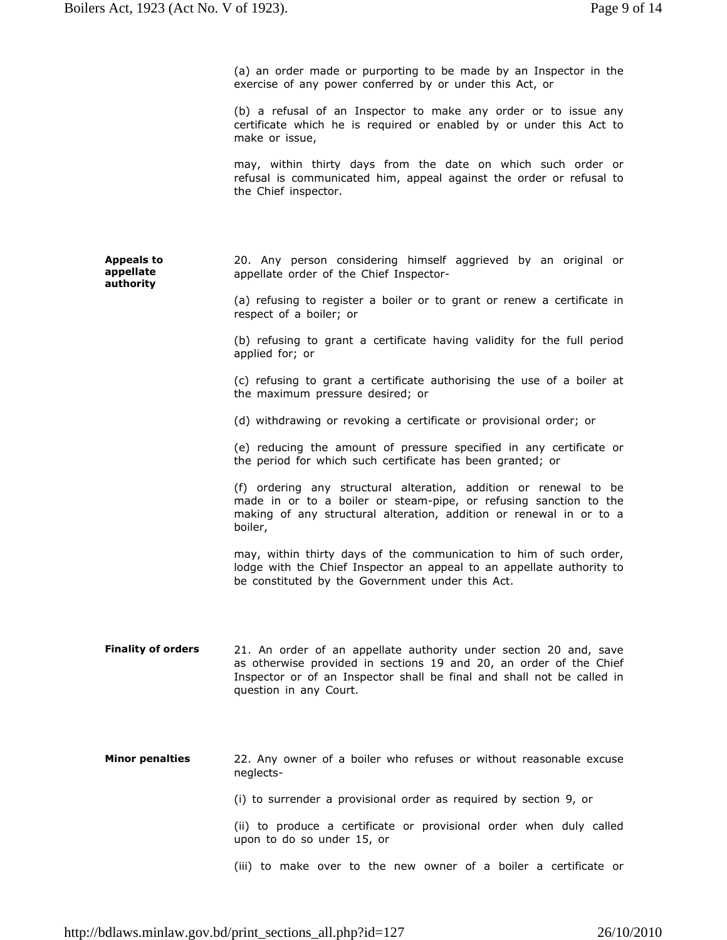(a) an order made or purporting to be made by an Inspector in the exercise of any power conferred by or under this Act, or

(b) a refusal of an Inspector to make any order or to issue any certificate which he is required or enabled by or under this Act to make or issue,

may, within thirty days from the date on which such order or refusal is communicated him, appeal against the order or refusal to the Chief inspector.

**Appeals to appellate authority** 20. Any person considering himself aggrieved by an original or appellate order of the Chief Inspector-

> (a) refusing to register a boiler or to grant or renew a certificate in respect of a boiler; or

> (b) refusing to grant a certificate having validity for the full period applied for; or

> (c) refusing to grant a certificate authorising the use of a boiler at the maximum pressure desired; or

(d) withdrawing or revoking a certificate or provisional order; or

(e) reducing the amount of pressure specified in any certificate or the period for which such certificate has been granted; or

(f) ordering any structural alteration, addition or renewal to be made in or to a boiler or steam-pipe, or refusing sanction to the making of any structural alteration, addition or renewal in or to a boiler,

may, within thirty days of the communication to him of such order, lodge with the Chief Inspector an appeal to an appellate authority to be constituted by the Government under this Act.

Finality of orders 21. An order of an appellate authority under section 20 and, save as otherwise provided in sections 19 and 20, an order of the Chief Inspector or of an Inspector shall be final and shall not be called in question in any Court.

**Minor penalties** 22. Any owner of a boiler who refuses or without reasonable excuse neglects- (i) to surrender a provisional order as required by section 9, or

(ii) to produce a certificate or provisional order when duly called upon to do so under 15, or

(iii) to make over to the new owner of a boiler a certificate or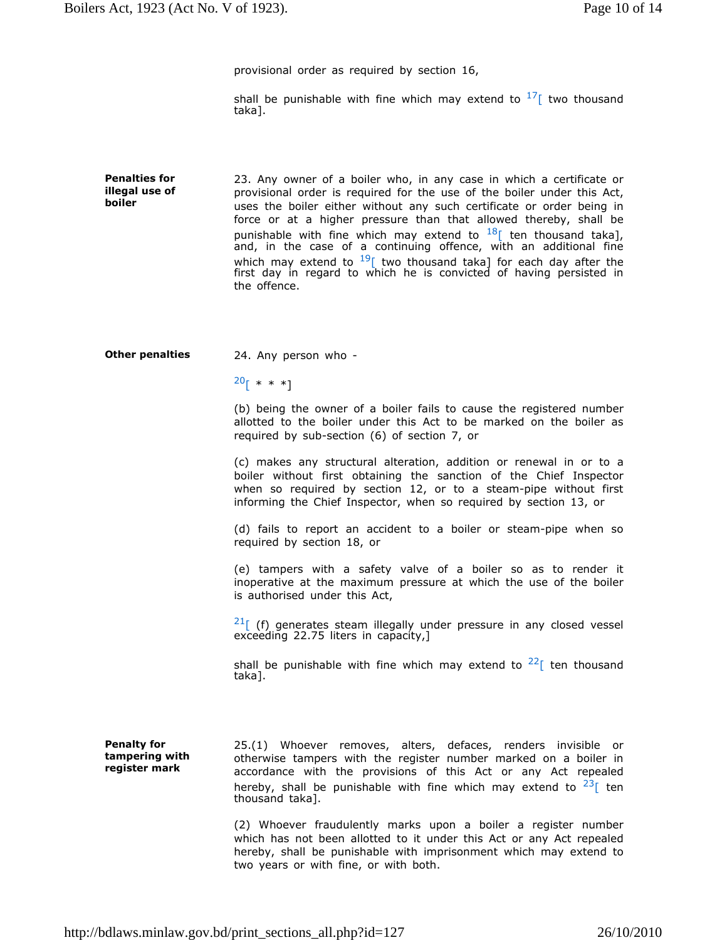provisional order as required by section 16,

shall be punishable with fine which may extend to  $17$ [ two thousand taka].

**Penalties for illegal use of boiler** 23. Any owner of a boiler who, in any case in which a certificate or provisional order is required for the use of the boiler under this Act, uses the boiler either without any such certificate or order being in force or at a higher pressure than that allowed thereby, shall be punishable with fine which may extend to  $^{18}$ [ ten thousand taka], and, in the case of a continuing offence, with an additional fine which may extend to  $19$ [ two thousand taka] for each day after the first day in regard to which he is convicted of having persisted in the offence.

**Other penalties** 24. Any person who -

 $20$ [ \* \* \*]

(b) being the owner of a boiler fails to cause the registered number allotted to the boiler under this Act to be marked on the boiler as required by sub-section (6) of section 7, or

(c) makes any structural alteration, addition or renewal in or to a boiler without first obtaining the sanction of the Chief Inspector when so required by section 12, or to a steam-pipe without first informing the Chief Inspector, when so required by section 13, or

(d) fails to report an accident to a boiler or steam-pipe when so required by section 18, or

(e) tampers with a safety valve of a boiler so as to render it inoperative at the maximum pressure at which the use of the boiler is authorised under this Act,

 $21$ [ (f) generates steam illegally under pressure in any closed vessel exceeding 22.75 liters in capacity,]

shall be punishable with fine which may extend to  $22<sup>2</sup>$  ten thousand taka].

**Penalty for tampering with register mark**

25.(1) Whoever removes, alters, defaces, renders invisible or otherwise tampers with the register number marked on a boiler in accordance with the provisions of this Act or any Act repealed hereby, shall be punishable with fine which may extend to  $23$ [ ten thousand taka].

(2) Whoever fraudulently marks upon a boiler a register number which has not been allotted to it under this Act or any Act repealed hereby, shall be punishable with imprisonment which may extend to two years or with fine, or with both.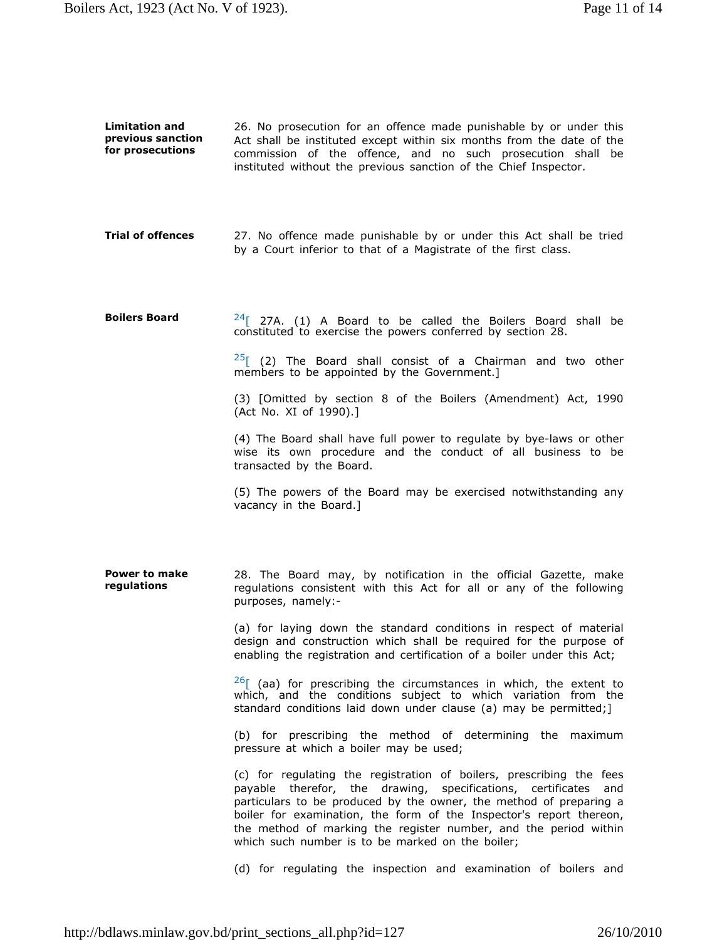**Limitation and previous sanction for prosecutions** 26. No prosecution for an offence made punishable by or under this Act shall be instituted except within six months from the date of the commission of the offence, and no such prosecution shall be instituted without the previous sanction of the Chief Inspector. **Trial of offences** 27. No offence made punishable by or under this Act shall be tried

by a Court inferior to that of a Magistrate of the first class.

**Boilers Board** 24<sup>[</sup> 27A. (1) A Board to be called the Boilers Board shall be constituted to exercise the powers conferred by section 28.

> $25$ [ (2) The Board shall consist of a Chairman and two other members to be appointed by the Government.]

> (3) [Omitted by section 8 of the Boilers (Amendment) Act, 1990 (Act No. XI of 1990).]

> (4) The Board shall have full power to regulate by bye-laws or other wise its own procedure and the conduct of all business to be transacted by the Board.

> (5) The powers of the Board may be exercised notwithstanding any vacancy in the Board.]

**Power to make regulations** 28. The Board may, by notification in the official Gazette, make regulations consistent with this Act for all or any of the following purposes, namely:-

> (a) for laying down the standard conditions in respect of material design and construction which shall be required for the purpose of enabling the registration and certification of a boiler under this Act;

> $26$ [ (aa) for prescribing the circumstances in which, the extent to which, and the conditions subject to which variation from the standard conditions laid down under clause (a) may be permitted;]

> (b) for prescribing the method of determining the maximum pressure at which a boiler may be used;

> (c) for regulating the registration of boilers, prescribing the fees payable therefor, the drawing, specifications, certificates and particulars to be produced by the owner, the method of preparing a boiler for examination, the form of the Inspector's report thereon, the method of marking the register number, and the period within which such number is to be marked on the boiler;

> (d) for regulating the inspection and examination of boilers and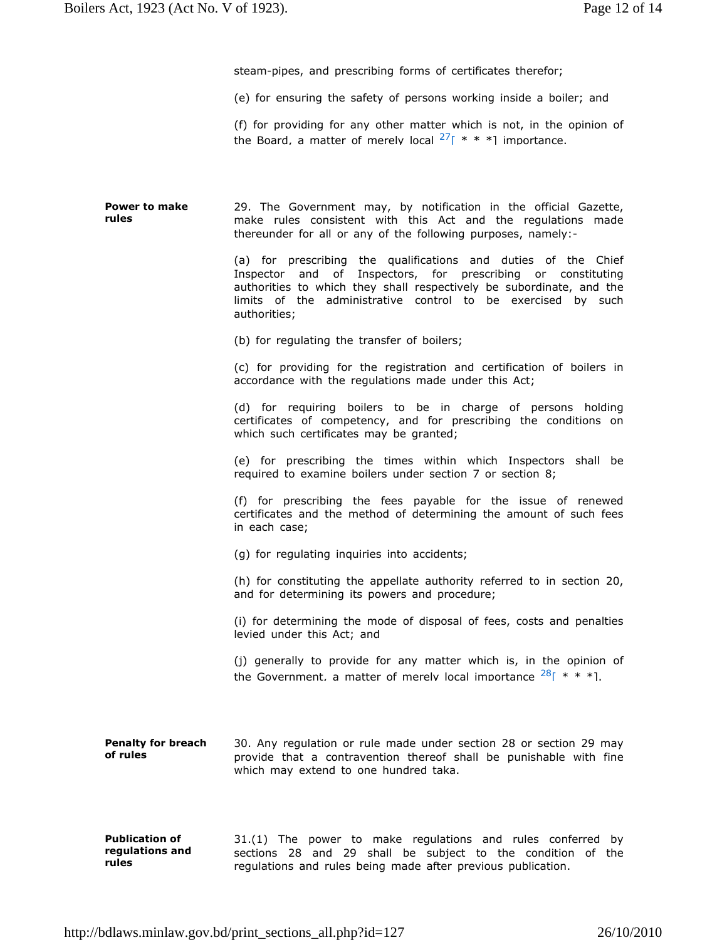steam-pipes, and prescribing forms of certificates therefor;

(e) for ensuring the safety of persons working inside a boiler; and

(f) for providing for any other matter which is not, in the opinion of the Board, a matter of merely local  $27$ [ \* \* \*] importance.

**Power to make rules** 29. The Government may, by notification in the official Gazette, make rules consistent with this Act and the regulations made thereunder for all or any of the following purposes, namely:-

> (a) for prescribing the qualifications and duties of the Chief Inspector and of Inspectors, for prescribing or constituting authorities to which they shall respectively be subordinate, and the limits of the administrative control to be exercised by such authorities;

(b) for regulating the transfer of boilers;

(c) for providing for the registration and certification of boilers in accordance with the regulations made under this Act;

(d) for requiring boilers to be in charge of persons holding certificates of competency, and for prescribing the conditions on which such certificates may be granted;

(e) for prescribing the times within which Inspectors shall be required to examine boilers under section 7 or section 8;

(f) for prescribing the fees payable for the issue of renewed certificates and the method of determining the amount of such fees in each case;

(g) for regulating inquiries into accidents;

(h) for constituting the appellate authority referred to in section 20, and for determining its powers and procedure;

(i) for determining the mode of disposal of fees, costs and penalties levied under this Act; and

(j) generally to provide for any matter which is, in the opinion of the Government, a matter of merely local importance  $28$ [ \* \* \*].

**Penalty for breach of rules** 30. Any regulation or rule made under section 28 or section 29 may provide that a contravention thereof shall be punishable with fine which may extend to one hundred taka.

**Publication of regulations and rules** 31.(1) The power to make regulations and rules conferred by sections 28 and 29 shall be subject to the condition of the regulations and rules being made after previous publication.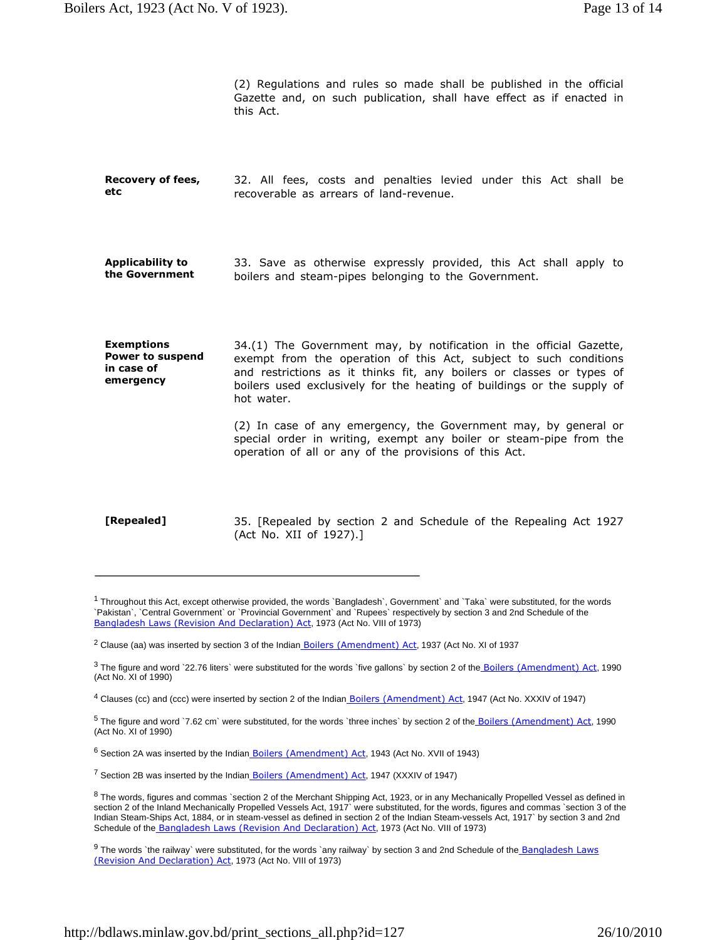(2) Regulations and rules so made shall be published in the official Gazette and, on such publication, shall have effect as if enacted in this Act.

- **Recovery of fees, etc** 32. All fees, costs and penalties levied under this Act shall be recoverable as arrears of land-revenue.
- **Applicability to the Government** 33. Save as otherwise expressly provided, this Act shall apply to boilers and steam-pipes belonging to the Government.
- **Exemptions Power to suspend in case of emergency** 34.(1) The Government may, by notification in the official Gazette, exempt from the operation of this Act, subject to such conditions and restrictions as it thinks fit, any boilers or classes or types of boilers used exclusively for the heating of buildings or the supply of hot water.

(2) In case of any emergency, the Government may, by general or special order in writing, exempt any boiler or steam-pipe from the operation of all or any of the provisions of this Act.

**[Repealed]** 35. [Repealed by section 2 and Schedule of the Repealing Act 1927 (Act No. XII of 1927).]

<sup>4</sup> Clauses (cc) and (ccc) were inserted by section 2 of the Indian **Boilers (Amendment) Act**, 1947 (Act No. XXXIV of 1947)

<sup>5</sup> The figure and word `7.62 cm` were substituted, for the words `three inches` by section 2 of the Boilers (Amendment) Act, 1990 (Act No. XI of 1990)

<sup>6</sup> Section 2A was inserted by the Indian Boilers (Amendment) Act, 1943 (Act No. XVII of 1943)

<sup>7</sup> Section 2B was inserted by the Indian Boilers (Amendment) Act, 1947 (XXXIV of 1947)

<sup>8</sup> The words, figures and commas `section 2 of the Merchant Shipping Act, 1923, or in any Mechanically Propelled Vessel as defined in section 2 of the Inland Mechanically Propelled Vessels Act, 1917` were substituted, for the words, figures and commas `section 3 of the Indian Steam-Ships Act, 1884, or in steam-vessel as defined in section 2 of the Indian Steam-vessels Act, 1917` by section 3 and 2nd Schedule of the Bangladesh Laws (Revision And Declaration) Act, 1973 (Act No. VIII of 1973)

<sup>9</sup> The words `the railway` were substituted, for the words `any railway` by section 3 and 2nd Schedule of the Bangladesh Laws (Revision And Declaration) Act, 1973 (Act No. VIII of 1973)

<sup>&</sup>lt;sup>1</sup> Throughout this Act, except otherwise provided, the words `Bangladesh`, Government` and `Taka` were substituted, for the words `Pakistan`, `Central Government` or `Provincial Government` and `Rupees` respectively by section 3 and 2nd Schedule of the Bangladesh Laws (Revision And Declaration) Act, 1973 (Act No. VIII of 1973)

<sup>&</sup>lt;sup>2</sup> Clause (aa) was inserted by section 3 of the Indian <u>Boilers (Amendment) Act</u>, 1937 (Act No. XI of 1937

<sup>&</sup>lt;sup>3</sup> The figure and word `22.76 liters` were substituted for the words `five gallons` by section 2 of the **Boilers (Amendment) Act**, 1990 (Act No. XI of 1990)